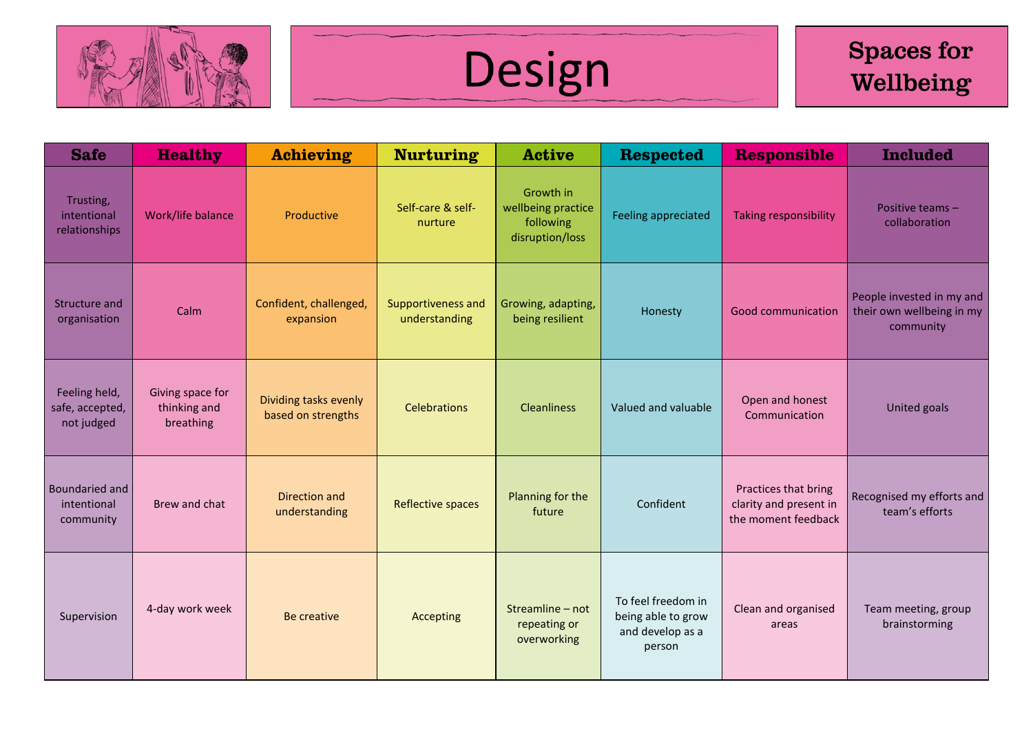



| <b>Safe</b>                                    | <b>Healthy</b>                                | <b>Achieving</b>                            | <b>Nurturing</b>                    | <b>Active</b>                                                   | <b>Respected</b>                                                       | <b>Responsible</b>                                                    | <b>Included</b>                                                     |
|------------------------------------------------|-----------------------------------------------|---------------------------------------------|-------------------------------------|-----------------------------------------------------------------|------------------------------------------------------------------------|-----------------------------------------------------------------------|---------------------------------------------------------------------|
| Trusting,<br>intentional<br>relationships      | Work/life balance                             | Productive                                  | Self-care & self-<br>nurture        | Growth in<br>wellbeing practice<br>following<br>disruption/loss | <b>Feeling appreciated</b>                                             | <b>Taking responsibility</b>                                          | Positive teams -<br>collaboration                                   |
| Structure and<br>organisation                  | Calm                                          | Confident, challenged,<br>expansion         | Supportiveness and<br>understanding | Growing, adapting,<br>being resilient                           | Honesty                                                                | <b>Good communication</b>                                             | People invested in my and<br>their own wellbeing in my<br>community |
| Feeling held,<br>safe, accepted,<br>not judged | Giving space for<br>thinking and<br>breathing | Dividing tasks evenly<br>based on strengths | <b>Celebrations</b>                 | <b>Cleanliness</b>                                              | Valued and valuable                                                    | Open and honest<br>Communication                                      | United goals                                                        |
| Boundaried and<br>intentional<br>community     | Brew and chat                                 | Direction and<br>understanding              | <b>Reflective spaces</b>            | Planning for the<br>future                                      | Confident                                                              | Practices that bring<br>clarity and present in<br>the moment feedback | Recognised my efforts and<br>team's efforts                         |
| Supervision                                    | 4-day work week                               | Be creative                                 | Accepting                           | Streamline - not<br>repeating or<br>overworking                 | To feel freedom in<br>being able to grow<br>and develop as a<br>person | Clean and organised<br>areas                                          | Team meeting, group<br>brainstorming                                |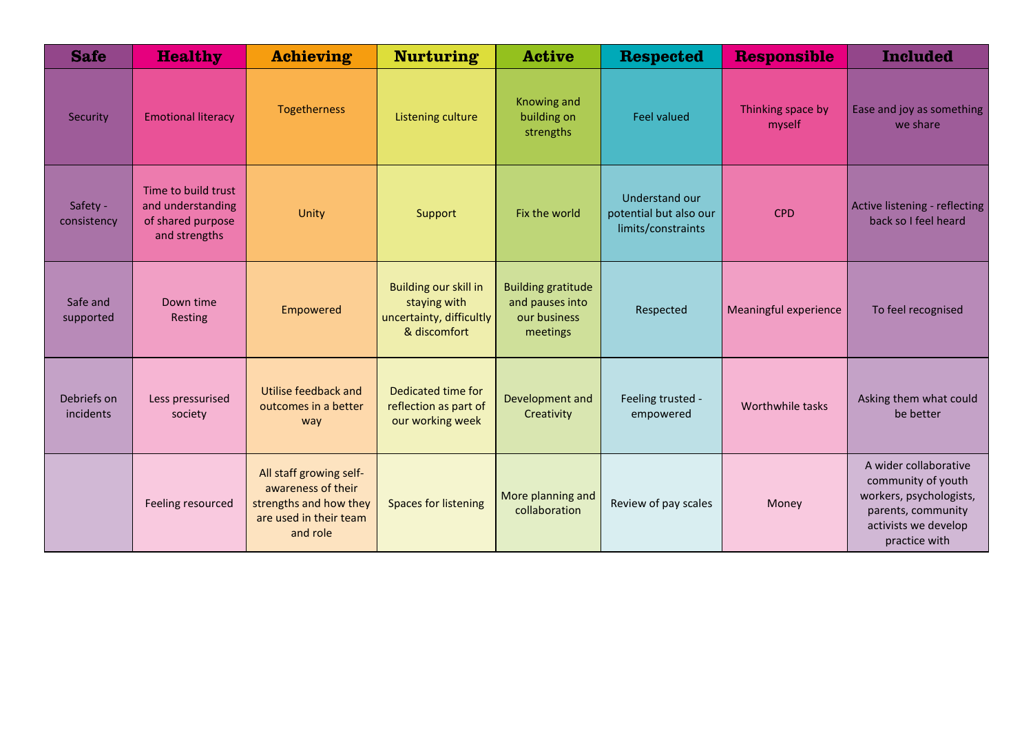| <b>Safe</b>              | <b>Healthy</b>                                                                 | <b>Achieving</b>                                                                                              | <b>Nurturing</b>                                                                  | <b>Active</b>                                                            | <b>Respected</b>                                               | <b>Responsible</b>          | <b>Included</b>                                                                                                                       |
|--------------------------|--------------------------------------------------------------------------------|---------------------------------------------------------------------------------------------------------------|-----------------------------------------------------------------------------------|--------------------------------------------------------------------------|----------------------------------------------------------------|-----------------------------|---------------------------------------------------------------------------------------------------------------------------------------|
| Security                 | <b>Emotional literacy</b>                                                      | Togetherness                                                                                                  | Listening culture                                                                 | <b>Knowing and</b><br>building on<br>strengths                           | <b>Feel valued</b>                                             | Thinking space by<br>myself | Ease and joy as something<br>we share                                                                                                 |
| Safety -<br>consistency  | Time to build trust<br>and understanding<br>of shared purpose<br>and strengths | Unity                                                                                                         | Support                                                                           | Fix the world                                                            | Understand our<br>potential but also our<br>limits/constraints | <b>CPD</b>                  | Active listening - reflecting<br>back so I feel heard                                                                                 |
| Safe and<br>supported    | Down time<br>Resting                                                           | Empowered                                                                                                     | Building our skill in<br>staying with<br>uncertainty, difficultly<br>& discomfort | <b>Building gratitude</b><br>and pauses into<br>our business<br>meetings | Respected                                                      | Meaningful experience       | To feel recognised                                                                                                                    |
| Debriefs on<br>incidents | Less pressurised<br>society                                                    | Utilise feedback and<br>outcomes in a better<br>way                                                           | Dedicated time for<br>reflection as part of<br>our working week                   | Development and<br>Creativity                                            | Feeling trusted -<br>empowered                                 | Worthwhile tasks            | Asking them what could<br>be better                                                                                                   |
|                          | Feeling resourced                                                              | All staff growing self-<br>awareness of their<br>strengths and how they<br>are used in their team<br>and role | <b>Spaces for listening</b>                                                       | More planning and<br>collaboration                                       | Review of pay scales                                           | Money                       | A wider collaborative<br>community of youth<br>workers, psychologists,<br>parents, community<br>activists we develop<br>practice with |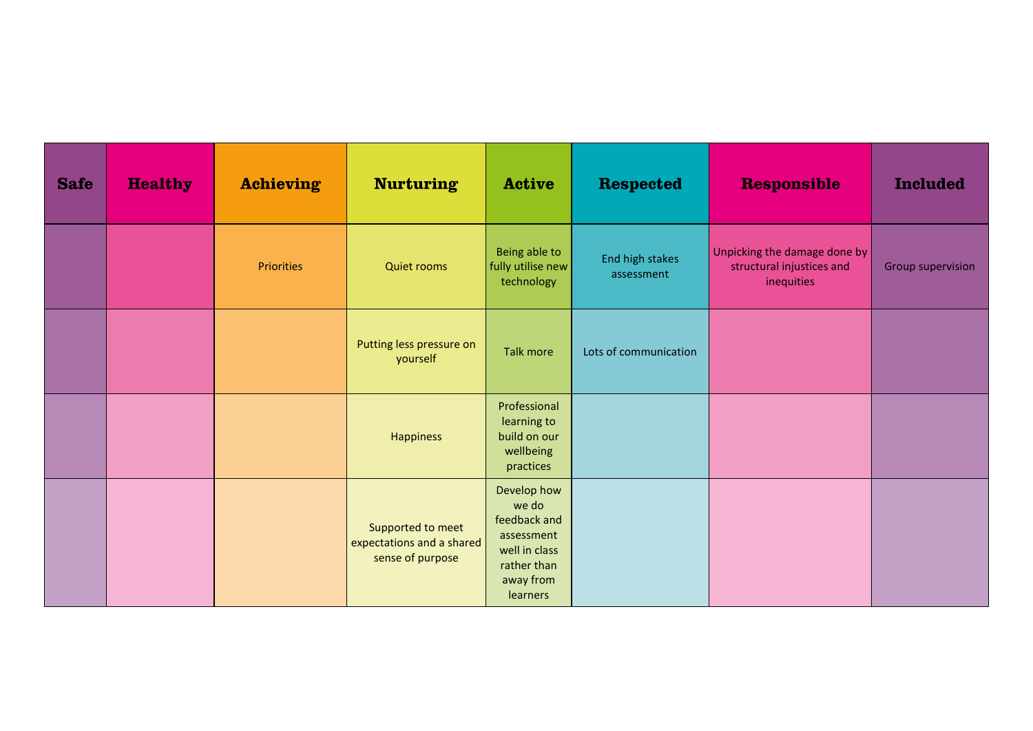| <b>Safe</b> | <b>Healthy</b> | <b>Achieving</b>  | <b>Nurturing</b>                                                   | <b>Active</b>                                                                                               | <b>Respected</b>              | <b>Responsible</b>                                                      | <b>Included</b>          |
|-------------|----------------|-------------------|--------------------------------------------------------------------|-------------------------------------------------------------------------------------------------------------|-------------------------------|-------------------------------------------------------------------------|--------------------------|
|             |                | <b>Priorities</b> | <b>Quiet rooms</b>                                                 | Being able to<br>fully utilise new<br>technology                                                            | End high stakes<br>assessment | Unpicking the damage done by<br>structural injustices and<br>inequities | <b>Group supervision</b> |
|             |                |                   | Putting less pressure on<br>yourself                               | <b>Talk more</b>                                                                                            | Lots of communication         |                                                                         |                          |
|             |                |                   | <b>Happiness</b>                                                   | Professional<br>learning to<br>build on our<br>wellbeing<br>practices                                       |                               |                                                                         |                          |
|             |                |                   | Supported to meet<br>expectations and a shared<br>sense of purpose | Develop how<br>we do<br>feedback and<br>assessment<br>well in class<br>rather than<br>away from<br>learners |                               |                                                                         |                          |